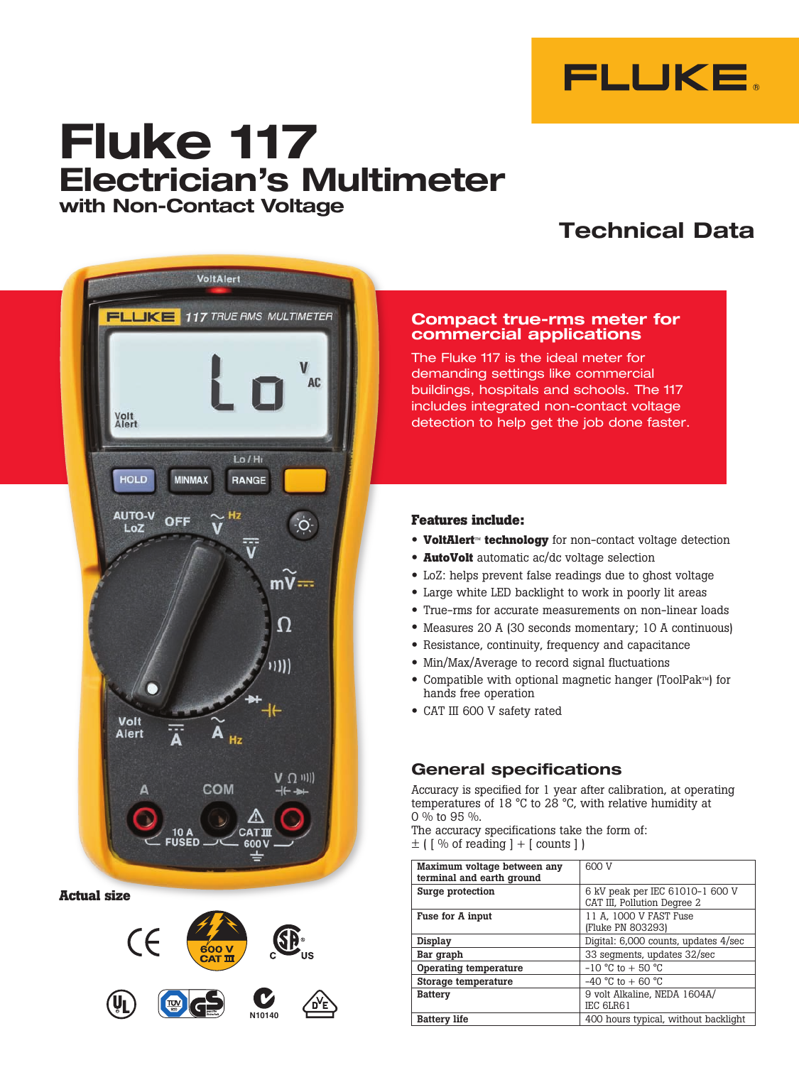

# **Fluke 117 Electrician's Multimeter with Non-Contact Voltage**

## **Technical Data**



**Actual size**



## **Compact true-rms meter for commercial applications**

The Fluke 117 is the ideal meter for demanding settings like commercial buildings, hospitals and schools. The 117 includes integrated non-contact voltage detection to help get the job done faster.

## **Features include:**

- **VoltAlert**™ **technology** for non-contact voltage detection
- **AutoVolt** automatic ac/dc voltage selection
- • LoZ: helps prevent false readings due to ghost voltage
- Large white LED backlight to work in poorly lit areas
- True-rms for accurate measurements on non-linear loads
- Measures 20 A (30 seconds momentary; 10 A continuous)
- Resistance, continuity, frequency and capacitance
- Min/Max/Average to record signal fluctuations
- • Compatible with optional magnetic hanger (ToolPak™) for hands free operation
- • CAT III <sup>600</sup> <sup>V</sup> safety rated

## **General specifications**

Accuracy is specified for 1 year after calibration, at operating temperatures of 18 °C to 28 °C, with relative humidity at 0 % to 95 %.

The accuracy specifications take the form of:  $\pm$  ( [ % of reading ] + [ counts ] )

|                                                          | Maximum voltage between any<br>terminal and earth ground | 600 V                                                          |
|----------------------------------------------------------|----------------------------------------------------------|----------------------------------------------------------------|
| ze                                                       | Surge protection                                         | 6 kV peak per IEC 61010-1 600 V<br>CAT III, Pollution Degree 2 |
|                                                          | Fuse for A input                                         | 11 A. 1000 V FAST Fuse<br>(Fluke PN 803293)                    |
| CE                                                       | Display                                                  | Digital: 6,000 counts, updates 4/sec                           |
| 600 V<br><b>CAT III</b>                                  | Bar graph                                                | 33 segments, updates 32/sec                                    |
|                                                          | Operating temperature                                    | $-10$ °C to $+50$ °C                                           |
|                                                          | Storage temperature                                      | $-40$ °C to $+60$ °C                                           |
| $\mathbf{j}_\mathbf{l}$<br>$\sum_{i=1}^{\infty}$<br>DYE, | <b>Battery</b>                                           | 9 volt Alkaline, NEDA 1604A/<br>IEC 6LR61                      |
| N10140                                                   | <b>Battery life</b>                                      | 400 hours typical, without backlight                           |
|                                                          |                                                          |                                                                |